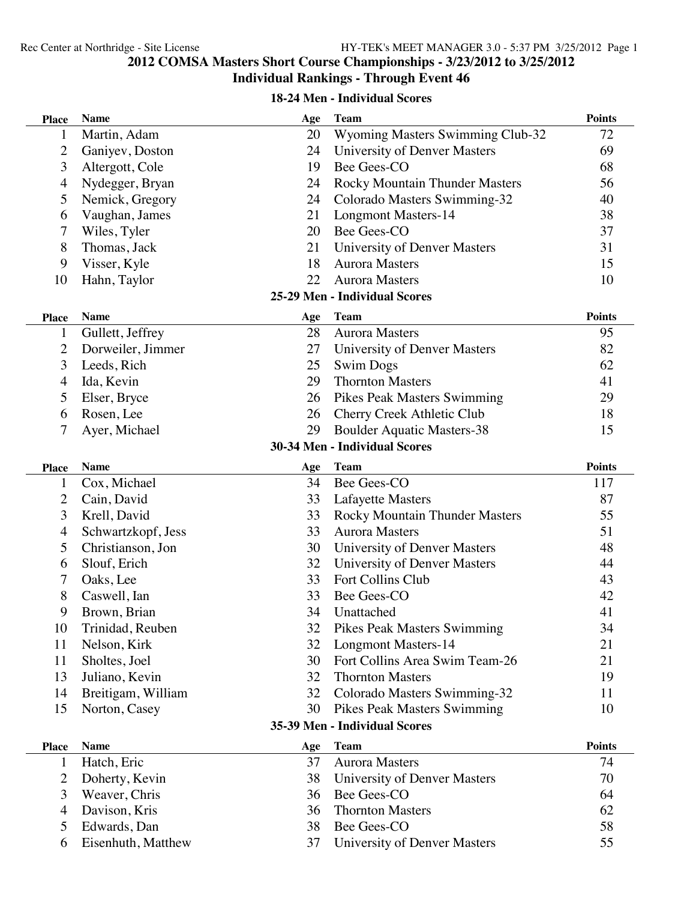#### **COMSA Masters Short Course Championships - 3/23/2012 to 3/25/2012 Individual Rankings - Through Event 46**

#### **18-24 Men - Individual Scores**

| <b>Place</b>   | <b>Name</b>        | Age | <b>Team</b>                           | <b>Points</b> |
|----------------|--------------------|-----|---------------------------------------|---------------|
| 1              | Martin, Adam       | 20  | Wyoming Masters Swimming Club-32      | 72            |
| 2              | Ganiyev, Doston    | 24  | University of Denver Masters          | 69            |
| 3              | Altergott, Cole    | 19  | Bee Gees-CO                           | 68            |
| $\overline{4}$ | Nydegger, Bryan    | 24  | <b>Rocky Mountain Thunder Masters</b> | 56            |
| 5              | Nemick, Gregory    | 24  | Colorado Masters Swimming-32          | 40            |
| 6              | Vaughan, James     | 21  | <b>Longmont Masters-14</b>            | 38            |
| 7              | Wiles, Tyler       | 20  | Bee Gees-CO                           | 37            |
| 8              | Thomas, Jack       | 21  | University of Denver Masters          | 31            |
| 9              | Visser, Kyle       | 18  | <b>Aurora Masters</b>                 | 15            |
| 10             | Hahn, Taylor       | 22  | <b>Aurora Masters</b>                 | 10            |
|                |                    |     | 25-29 Men - Individual Scores         |               |
| <b>Place</b>   | <b>Name</b>        | Age | <b>Team</b>                           | <b>Points</b> |
| 1              | Gullett, Jeffrey   | 28  | <b>Aurora Masters</b>                 | 95            |
| $\overline{2}$ | Dorweiler, Jimmer  | 27  | University of Denver Masters          | 82            |
| 3              | Leeds, Rich        | 25  | <b>Swim Dogs</b>                      | 62            |
| 4              | Ida, Kevin         | 29  | <b>Thornton Masters</b>               | 41            |
| 5              | Elser, Bryce       | 26  | Pikes Peak Masters Swimming           | 29            |
| 6              | Rosen, Lee         | 26  | Cherry Creek Athletic Club            | 18            |
| 7              | Ayer, Michael      | 29  | <b>Boulder Aquatic Masters-38</b>     | 15            |
|                |                    |     | 30-34 Men - Individual Scores         |               |
| <b>Place</b>   | <b>Name</b>        | Age | <b>Team</b>                           | <b>Points</b> |
| 1              | Cox, Michael       | 34  | Bee Gees-CO                           | 117           |
| 2              | Cain, David        | 33  | <b>Lafayette Masters</b>              | 87            |
| 3              | Krell, David       | 33  | Rocky Mountain Thunder Masters        | 55            |
| $\overline{4}$ | Schwartzkopf, Jess | 33  | <b>Aurora Masters</b>                 | 51            |
| 5              | Christianson, Jon  | 30  | University of Denver Masters          | 48            |
| 6              | Slouf, Erich       | 32  | University of Denver Masters          | 44            |
| 7              | Oaks, Lee          | 33  | Fort Collins Club                     | 43            |
| $8\,$          | Caswell, Ian       | 33  | Bee Gees-CO                           | 42            |
| 9              | Brown, Brian       | 34  | Unattached                            | 41            |
| 10             | Trinidad, Reuben   | 32  | <b>Pikes Peak Masters Swimming</b>    | 34            |
| 11             | Nelson, Kirk       | 32  | <b>Longmont Masters-14</b>            | 21            |
| 11             | Sholtes, Joel      | 30  | Fort Collins Area Swim Team-26        | 21            |
| 13             | Juliano, Kevin     | 32  | <b>Thornton Masters</b>               | 19            |
| 14             | Breitigam, William | 32  | Colorado Masters Swimming-32          | 11            |
| 15             | Norton, Casey      | 30  | <b>Pikes Peak Masters Swimming</b>    | 10            |
|                |                    |     | 35-39 Men - Individual Scores         |               |
| <b>Place</b>   | <b>Name</b>        | Age | <b>Team</b>                           | <b>Points</b> |
| 1              | Hatch, Eric        | 37  | <b>Aurora Masters</b>                 | 74            |
| $\overline{2}$ | Doherty, Kevin     | 38  | University of Denver Masters          | 70            |
| 3              | Weaver, Chris      | 36  | Bee Gees-CO                           | 64            |
| $\overline{4}$ | Davison, Kris      | 36  | <b>Thornton Masters</b>               | 62            |
| 5              | Edwards, Dan       | 38  | Bee Gees-CO                           | 58            |
| 6              | Eisenhuth, Matthew | 37  | University of Denver Masters          | 55            |
|                |                    |     |                                       |               |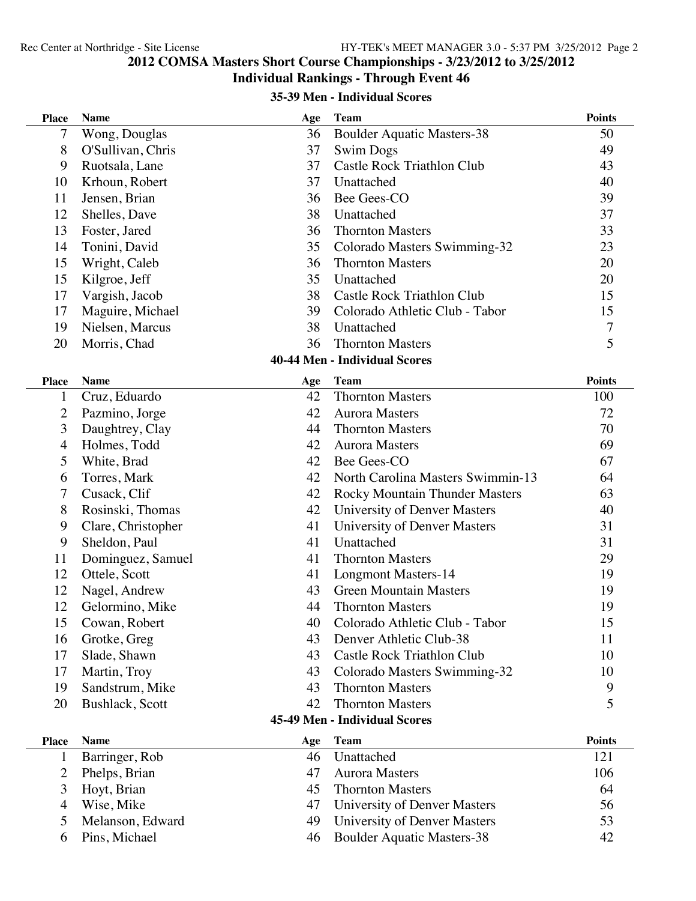## **COMSA Masters Short Course Championships - 3/23/2012 to 3/25/2012**

#### **Individual Rankings - Through Event 46**

#### **35-39 Men - Individual Scores**

| <b>Place</b>   | <b>Name</b>        | Age | <b>Team</b>                           | <b>Points</b>  |
|----------------|--------------------|-----|---------------------------------------|----------------|
| 7              | Wong, Douglas      | 36  | <b>Boulder Aquatic Masters-38</b>     | 50             |
| 8              | O'Sullivan, Chris  | 37  | <b>Swim Dogs</b>                      | 49             |
| 9              | Ruotsala, Lane     | 37  | Castle Rock Triathlon Club            | 43             |
| 10             | Krhoun, Robert     | 37  | Unattached                            | 40             |
| 11             | Jensen, Brian      | 36  | Bee Gees-CO                           | 39             |
| 12             | Shelles, Dave      | 38  | Unattached                            | 37             |
| 13             | Foster, Jared      | 36  | <b>Thornton Masters</b>               | 33             |
| 14             | Tonini, David      | 35  | Colorado Masters Swimming-32          | 23             |
| 15             | Wright, Caleb      | 36  | <b>Thornton Masters</b>               | 20             |
| 15             | Kilgroe, Jeff      | 35  | Unattached                            | 20             |
| 17             | Vargish, Jacob     | 38  | <b>Castle Rock Triathlon Club</b>     | 15             |
| 17             | Maguire, Michael   | 39  | Colorado Athletic Club - Tabor        | 15             |
| 19             | Nielsen, Marcus    | 38  | Unattached                            | $\overline{7}$ |
| 20             | Morris, Chad       | 36  | <b>Thornton Masters</b>               | 5              |
|                |                    |     | <b>40-44 Men - Individual Scores</b>  |                |
| <b>Place</b>   | <b>Name</b>        | Age | <b>Team</b>                           | <b>Points</b>  |
| $\mathbf 1$    | Cruz, Eduardo      | 42  | <b>Thornton Masters</b>               | 100            |
| 2              | Pazmino, Jorge     | 42  | <b>Aurora Masters</b>                 | 72             |
| 3              | Daughtrey, Clay    | 44  | <b>Thornton Masters</b>               | 70             |
| $\overline{4}$ | Holmes, Todd       | 42  | <b>Aurora Masters</b>                 | 69             |
| 5              | White, Brad        | 42  | Bee Gees-CO                           | 67             |
| 6              | Torres, Mark       | 42  | North Carolina Masters Swimmin-13     | 64             |
| 7              | Cusack, Clif       | 42  | <b>Rocky Mountain Thunder Masters</b> | 63             |
| 8              | Rosinski, Thomas   | 42  | University of Denver Masters          | 40             |
| 9              | Clare, Christopher | 41  | University of Denver Masters          | 31             |
| 9              | Sheldon, Paul      | 41  | Unattached                            | 31             |
| 11             | Dominguez, Samuel  | 41  | <b>Thornton Masters</b>               | 29             |
| 12             | Ottele, Scott      | 41  | <b>Longmont Masters-14</b>            | 19             |
| 12             | Nagel, Andrew      | 43  | <b>Green Mountain Masters</b>         | 19             |
| 12             | Gelormino, Mike    | 44  | <b>Thornton Masters</b>               | 19             |
| 15             | Cowan, Robert      | 40  | Colorado Athletic Club - Tabor        | 15             |
| 16             | Grotke, Greg       | 43  | Denver Athletic Club-38               | 11             |
| 17             | Slade, Shawn       | 43  | <b>Castle Rock Triathlon Club</b>     | 10             |
| 17             | Martin, Troy       | 43  | Colorado Masters Swimming-32          | 10             |
| 19             | Sandstrum, Mike    | 43  | <b>Thornton Masters</b>               | 9              |
| 20             | Bushlack, Scott    | 42  | <b>Thornton Masters</b>               | 5              |
|                |                    |     | 45-49 Men - Individual Scores         |                |
| <b>Place</b>   | <b>Name</b>        | Age | <b>Team</b>                           | <b>Points</b>  |
| 1              | Barringer, Rob     | 46  | Unattached                            | 121            |
| 2              | Phelps, Brian      | 47  | <b>Aurora Masters</b>                 | 106            |
| 3              | Hoyt, Brian        | 45  | <b>Thornton Masters</b>               | 64             |
| 4              | Wise, Mike         | 47  | University of Denver Masters          | 56             |
| 5              | Melanson, Edward   | 49  | University of Denver Masters          | 53             |
| 6              | Pins, Michael      | 46  | <b>Boulder Aquatic Masters-38</b>     | 42             |
|                |                    |     |                                       |                |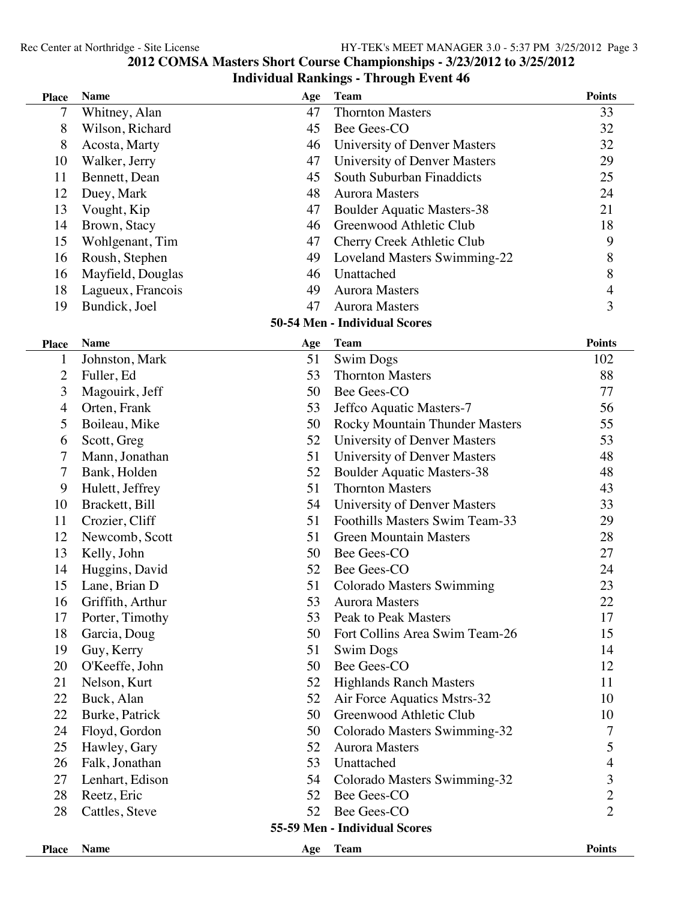#### **COMSA Masters Short Course Championships - 3/23/2012 to 3/25/2012 Individual Rankings - Through Event 46**

| <b>Place</b>                  | <b>Name</b>       | Age | <b>Team</b>                           | <b>Points</b>  |
|-------------------------------|-------------------|-----|---------------------------------------|----------------|
| 7                             | Whitney, Alan     | 47  | <b>Thornton Masters</b>               | 33             |
| 8                             | Wilson, Richard   | 45  | Bee Gees-CO                           | 32             |
| 8                             | Acosta, Marty     | 46  | University of Denver Masters          | 32             |
| 10                            | Walker, Jerry     | 47  | University of Denver Masters          | 29             |
| 11                            | Bennett, Dean     | 45  | South Suburban Finaddicts             | 25             |
| 12                            | Duey, Mark        | 48  | <b>Aurora Masters</b>                 | 24             |
| 13                            | Vought, Kip       | 47  | <b>Boulder Aquatic Masters-38</b>     | 21             |
| 14                            | Brown, Stacy      | 46  | Greenwood Athletic Club               | 18             |
| 15                            | Wohlgenant, Tim   | 47  | Cherry Creek Athletic Club            | 9              |
| 16                            | Roush, Stephen    | 49  | Loveland Masters Swimming-22          | 8              |
| 16                            | Mayfield, Douglas | 46  | Unattached                            | $\,8\,$        |
| 18                            | Lagueux, Francois | 49  | <b>Aurora Masters</b>                 | $\overline{4}$ |
| 19                            | Bundick, Joel     | 47  | <b>Aurora Masters</b>                 | 3              |
|                               |                   |     | 50-54 Men - Individual Scores         |                |
| <b>Place</b>                  | <b>Name</b>       | Age | <b>Team</b>                           | <b>Points</b>  |
| $\mathbf{1}$                  | Johnston, Mark    | 51  | <b>Swim Dogs</b>                      | 102            |
| $\overline{c}$                | Fuller, Ed        | 53  | <b>Thornton Masters</b>               | 88             |
| 3                             | Magouirk, Jeff    | 50  | Bee Gees-CO                           | 77             |
| 4                             | Orten, Frank      | 53  | Jeffco Aquatic Masters-7              | 56             |
| 5                             | Boileau, Mike     | 50  | <b>Rocky Mountain Thunder Masters</b> | 55             |
| 6                             | Scott, Greg       | 52  | University of Denver Masters          | 53             |
| 7                             | Mann, Jonathan    | 51  | University of Denver Masters          | 48             |
| 7                             | Bank, Holden      | 52  | <b>Boulder Aquatic Masters-38</b>     | 48             |
| 9                             | Hulett, Jeffrey   | 51  | <b>Thornton Masters</b>               | 43             |
| 10                            | Brackett, Bill    | 54  | University of Denver Masters          | 33             |
| 11                            | Crozier, Cliff    | 51  | Foothills Masters Swim Team-33        | 29             |
| 12                            | Newcomb, Scott    | 51  | <b>Green Mountain Masters</b>         | 28             |
| 13                            | Kelly, John       | 50  | Bee Gees-CO                           | 27             |
| 14                            | Huggins, David    | 52  | Bee Gees-CO                           | 24             |
| 15                            | Lane, Brian D     | 51  | <b>Colorado Masters Swimming</b>      | 23             |
| 16                            | Griffith, Arthur  | 53  | <b>Aurora Masters</b>                 | 22             |
| 17                            | Porter, Timothy   | 53  | <b>Peak to Peak Masters</b>           | 17             |
| 18                            | Garcia, Doug      | 50  | Fort Collins Area Swim Team-26        | 15             |
| 19                            | Guy, Kerry        | 51  | <b>Swim Dogs</b>                      | 14             |
| 20                            | O'Keeffe, John    | 50  | Bee Gees-CO                           | 12             |
| 21                            | Nelson, Kurt      | 52  | <b>Highlands Ranch Masters</b>        | 11             |
| 22                            | Buck, Alan        | 52  | Air Force Aquatics Mstrs-32           | 10             |
| 22                            | Burke, Patrick    | 50  | Greenwood Athletic Club               | 10             |
| 24                            | Floyd, Gordon     | 50  | Colorado Masters Swimming-32          | 7              |
| 25                            | Hawley, Gary      | 52  | <b>Aurora Masters</b>                 | 5              |
| 26                            | Falk, Jonathan    | 53  | Unattached                            | $\overline{4}$ |
| 27                            | Lenhart, Edison   | 54  | Colorado Masters Swimming-32          | 3              |
| 28                            | Reetz, Eric       | 52  | Bee Gees-CO                           | $\overline{c}$ |
| 28                            | Cattles, Steve    | 52  | Bee Gees-CO                           | $\overline{2}$ |
| 55-59 Men - Individual Scores |                   |     |                                       |                |
| <b>Place</b>                  | <b>Name</b>       | Age | <b>Team</b>                           | <b>Points</b>  |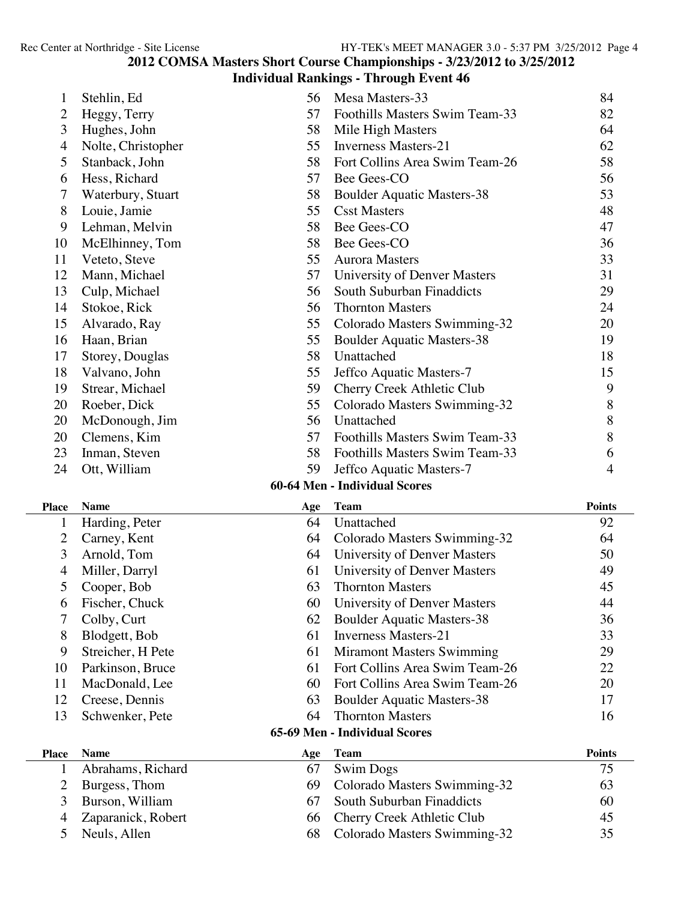## **COMSA Masters Short Course Championships - 3/23/2012 to 3/25/2012**

## **Individual Rankings - Through Event 46**

| 1                                    | Stehlin, Ed        | 56  | Mesa Masters-33                   | 84            |  |  |
|--------------------------------------|--------------------|-----|-----------------------------------|---------------|--|--|
| $\overline{2}$                       | Heggy, Terry       | 57  | Foothills Masters Swim Team-33    | 82            |  |  |
| 3                                    | Hughes, John       | 58  | Mile High Masters                 | 64            |  |  |
| $\overline{4}$                       | Nolte, Christopher | 55  | <b>Inverness Masters-21</b>       | 62            |  |  |
| 5                                    | Stanback, John     | 58  | Fort Collins Area Swim Team-26    | 58            |  |  |
| 6                                    | Hess, Richard      | 57  | Bee Gees-CO                       | 56            |  |  |
| 7                                    | Waterbury, Stuart  | 58  | <b>Boulder Aquatic Masters-38</b> | 53            |  |  |
| 8                                    | Louie, Jamie       | 55  | <b>Csst Masters</b>               | 48            |  |  |
| 9                                    | Lehman, Melvin     | 58  | Bee Gees-CO                       | 47            |  |  |
| 10                                   | McElhinney, Tom    | 58  | Bee Gees-CO                       | 36            |  |  |
| 11                                   | Veteto, Steve      | 55  | <b>Aurora Masters</b>             | 33            |  |  |
| 12                                   | Mann, Michael      | 57  | University of Denver Masters      | 31            |  |  |
| 13                                   | Culp, Michael      | 56  | South Suburban Finaddicts         | 29            |  |  |
| 14                                   | Stokoe, Rick       | 56  | <b>Thornton Masters</b>           | 24            |  |  |
| 15                                   | Alvarado, Ray      | 55  | Colorado Masters Swimming-32      | 20            |  |  |
| 16                                   | Haan, Brian        | 55  | <b>Boulder Aquatic Masters-38</b> | 19            |  |  |
| 17                                   | Storey, Douglas    | 58  | Unattached                        | 18            |  |  |
| 18                                   | Valvano, John      | 55  | Jeffco Aquatic Masters-7          | 15            |  |  |
| 19                                   | Strear, Michael    | 59  | Cherry Creek Athletic Club        | 9             |  |  |
| 20                                   | Roeber, Dick       | 55  | Colorado Masters Swimming-32      | 8             |  |  |
| 20                                   | McDonough, Jim     | 56  | Unattached                        | 8             |  |  |
| 20                                   | Clemens, Kim       | 57  | Foothills Masters Swim Team-33    | 8             |  |  |
| 23                                   | Inman, Steven      | 58  | Foothills Masters Swim Team-33    | 6             |  |  |
| 24                                   | Ott, William       | 59  | Jeffco Aquatic Masters-7          | 4             |  |  |
|                                      |                    |     | 60-64 Men - Individual Scores     |               |  |  |
| <b>Place</b>                         | <b>Name</b>        | Age | <b>Team</b>                       | <b>Points</b> |  |  |
| $\mathbf{1}$                         | Harding, Peter     | 64  | Unattached                        | 92            |  |  |
| $\overline{2}$                       | Carney, Kent       | 64  | Colorado Masters Swimming-32      | 64            |  |  |
| 3                                    | Arnold, Tom        | 64  | University of Denver Masters      | 50            |  |  |
| $\overline{4}$                       | Miller, Darryl     | 61  | University of Denver Masters      | 49            |  |  |
| 5                                    | Cooper, Bob        | 63  | <b>Thornton Masters</b>           | 45            |  |  |
| 6                                    | Fischer, Chuck     | 60  | University of Denver Masters      | 44            |  |  |
| 7                                    | Colby, Curt        | 62  | <b>Boulder Aquatic Masters-38</b> | 36            |  |  |
| 8                                    | Blodgett, Bob      | 61  | <b>Inverness Masters-21</b>       | 33            |  |  |
| 9                                    | Streicher, H Pete  | 61  | <b>Miramont Masters Swimming</b>  | 29            |  |  |
| 10                                   | Parkinson, Bruce   | 61  | Fort Collins Area Swim Team-26    | 22            |  |  |
| 11                                   | MacDonald, Lee     | 60  | Fort Collins Area Swim Team-26    | 20            |  |  |
| 12                                   | Creese, Dennis     | 63  | <b>Boulder Aquatic Masters-38</b> | 17            |  |  |
| 13                                   | Schwenker, Pete    | 64  | <b>Thornton Masters</b>           | 16            |  |  |
| <b>65-69 Men - Individual Scores</b> |                    |     |                                   |               |  |  |
| <b>Place</b>                         | <b>Name</b>        | Age | <b>Team</b>                       | <b>Points</b> |  |  |
| $\mathbf{1}$                         | Abrahams, Richard  | 67  | <b>Swim Dogs</b>                  | 75            |  |  |
| $\mathbf{2}$                         | Burgess, Thom      | 69  | Colorado Masters Swimming-32      | 63            |  |  |
| 3                                    | Burson, William    | 67  | South Suburban Finaddicts         | 60            |  |  |
| $\overline{4}$                       | Zaparanick, Robert | 66  | Cherry Creek Athletic Club        | 45            |  |  |

Neuls, Allen 68 Colorado Masters Swimming-32 35